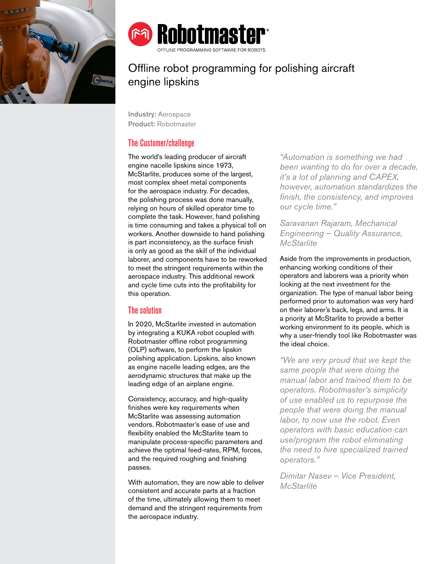



# Offline robot programming for polishing aircraft engine lipskins

Industry: Aerospace Product: Robotmaster

### The Customer/challenge

The world's leading producer of aircraft engine nacelle lipskins since 1973, McStarlite, produces some of the largest, most complex sheet metal components for the aerospace industry. For decades, the polishing process was done manually, relying on hours of skilled operator time to complete the task. However, hand polishing is time consuming and takes a physical toll on workers. Another downside to hand polishing is part inconsistency, as the surface finish is only as good as the skill of the individual laborer, and components have to be reworked to meet the stringent requirements within the aerospace industry. This additional rework and cycle time cuts into the profitability for this operation.

### The solution

In 2020, McStarlite invested in automation by integrating a KUKA robot coupled with Robotmaster offline robot programming (OLP) software, to perform the lipskin polishing application. Lipskins, also known as engine nacelle leading edges, are the aerodynamic structures that make up the leading edge of an airplane engine.

Consistency, accuracy, and high-quality finishes were key requirements when McStarlite was assessing automation vendors. Robotmaster's ease of use and flexibility enabled the McStarlite team to manipulate process-specific parameters and achieve the optimal feed-rates, RPM, forces, and the required roughing and finishing passes.

With automation, they are now able to deliver consistent and accurate parts at a fraction of the time, ultimately allowing them to meet demand and the stringent requirements from the aerospace industry.

*"Automation is something we had been wanting to do for over a decade, it's a lot of planning and CAPEX, however, automation standardizes the finish, the consistency, and improves our cycle time."* 

*Saravanan Rajaram, Mechanical Engineering – Quality Assurance, McStarlite*

Aside from the improvements in production, enhancing working conditions of their operators and laborers was a priority when looking at the next investment for the organization. The type of manual labor being performed prior to automation was very hard on their laborer's back, legs, and arms. It is a priority at McStarlite to provide a better working environment to its people, which is why a user-friendly tool like Robotmaster was the ideal choice.

*"We are very proud that we kept the same people that were doing the manual labor and trained them to be operators. Robotmaster's simplicity of use enabled us to repurpose the people that were doing the manual labor, to now use the robot. Even operators with basic education can use/program the robot eliminating the need to hire specialized trained operators."* 

*Dimitar Nasev – Vice President, McStarlite*